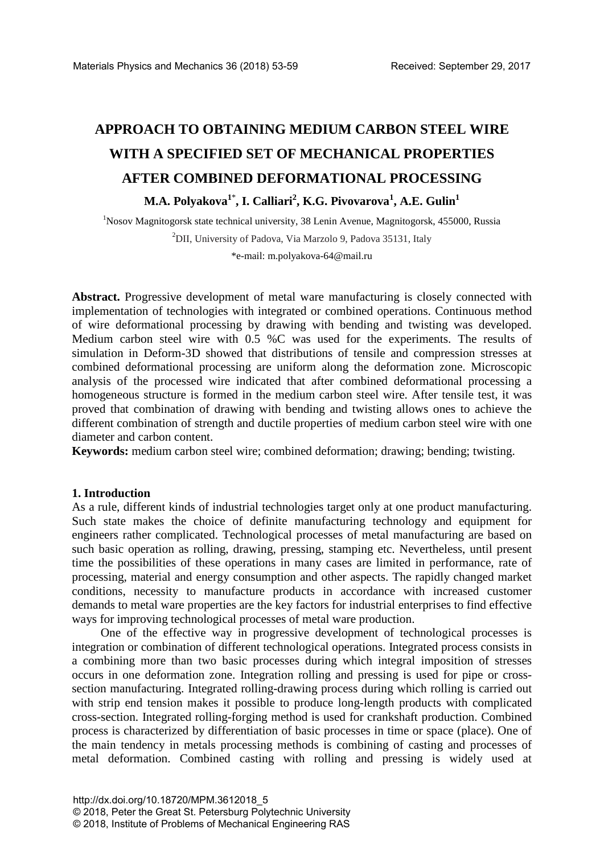# **APPROACH TO OBTAINING MEDIUM CARBON STEEL WIRE WITH A SPECIFIED SET OF MECHANICAL PROPERTIES AFTER COMBINED DEFORMATIONAL PROCESSING M.A. Polyakova1**\* **, I. Calliari<sup>2</sup> , K.G. Pivovarova<sup>1</sup> , A.E. Gulin1**

<sup>1</sup>Nosov Magnitogorsk state technical university, 38 Lenin Avenue, Magnitogorsk, 455000, Russia <sup>2</sup>DII, University of Padova, Via Marzolo 9, Padova 35131, Italy

\*e-mail: m.polyakova-64@mail.ru

**Abstract.** Progressive development of metal ware manufacturing is closely connected with implementation of technologies with integrated or combined operations. Continuous method of wire deformational processing by drawing with bending and twisting was developed. Medium carbon steel wire with 0.5 %C was used for the experiments. The results of simulation in Deform-3D showed that distributions of tensile and compression stresses at combined deformational processing are uniform along the deformation zone. Microscopic analysis of the processed wire indicated that after combined deformational processing a homogeneous structure is formed in the medium carbon steel wire. After tensile test, it was proved that combination of drawing with bending and twisting allows ones to achieve the different combination of strength and ductile properties of medium carbon steel wire with one diameter and carbon content.

**Keywords:** medium carbon steel wire; combined deformation; drawing; bending; twisting.

#### **1. Introduction**

As a rule, different kinds of industrial technologies target only at one product manufacturing. Such state makes the choice of definite manufacturing technology and equipment for engineers rather complicated. Technological processes of metal manufacturing are based on such basic operation as rolling, drawing, pressing, stamping etc. Nevertheless, until present time the possibilities of these operations in many cases are limited in performance, rate of processing, material and energy consumption and other aspects. The rapidly changed market conditions, necessity to manufacture products in accordance with increased customer demands to metal ware properties are the key factors for industrial enterprises to find effective ways for improving technological processes of metal ware production.

One of the effective way in progressive development of technological processes is integration or combination of different technological operations. Integrated process consists in a combining more than two basic processes during which integral imposition of stresses occurs in one deformation zone. Integration rolling and pressing is used for pipe or crosssection manufacturing. Integrated rolling-drawing process during which rolling is carried out with strip end tension makes it possible to produce long-length products with complicated cross-section. Integrated rolling-forging method is used for crankshaft production. Combined process is characterized by differentiation of basic processes in time or space (place). One of the main tendency in metals processing methods is combining of casting and processes of metal deformation. Combined casting with rolling and pressing is widely used at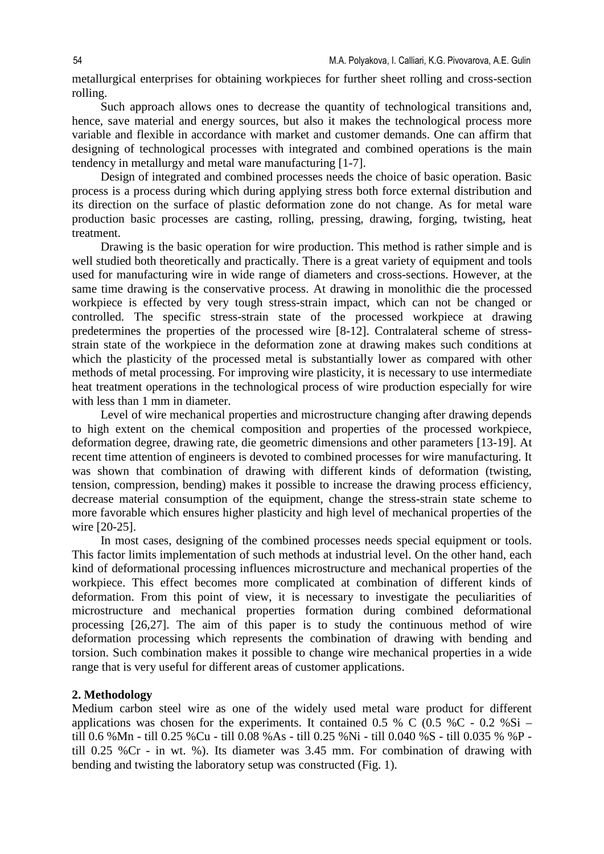metallurgical enterprises for obtaining workpieces for further sheet rolling and cross-section rolling.

Such approach allows ones to decrease the quantity of technological transitions and, hence, save material and energy sources, but also it makes the technological process more variable and flexible in accordance with market and customer demands. One can affirm that designing of technological processes with integrated and combined operations is the main tendency in metallurgy and metal ware manufacturing [1-7].

Design of integrated and combined processes needs the choice of basic operation. Basic process is a process during which during applying stress both force external distribution and its direction on the surface of plastic deformation zone do not change. As for metal ware production basic processes are casting, rolling, pressing, drawing, forging, twisting, heat treatment.

Drawing is the basic operation for wire production. This method is rather simple and is well studied both theoretically and practically. There is a great variety of equipment and tools used for manufacturing wire in wide range of diameters and cross-sections. However, at the same time drawing is the conservative process. At drawing in monolithic die the processed workpiece is effected by very tough stress-strain impact, which can not be changed or controlled. The specific stress-strain state of the processed workpiece at drawing predetermines the properties of the processed wire [8-12]. Contralateral scheme of stressstrain state of the workpiece in the deformation zone at drawing makes such conditions at which the plasticity of the processed metal is substantially lower as compared with other methods of metal processing. For improving wire plasticity, it is necessary to use intermediate heat treatment operations in the technological process of wire production especially for wire with less than 1 mm in diameter.

Level of wire mechanical properties and microstructure changing after drawing depends to high extent on the chemical composition and properties of the processed workpiece, deformation degree, drawing rate, die geometric dimensions and other parameters [13-19]. At recent time attention of engineers is devoted to combined processes for wire manufacturing. It was shown that combination of drawing with different kinds of deformation (twisting, tension, compression, bending) makes it possible to increase the drawing process efficiency, decrease material consumption of the equipment, change the stress-strain state scheme to more favorable which ensures higher plasticity and high level of mechanical properties of the wire [20-25].

In most cases, designing of the combined processes needs special equipment or tools. This factor limits implementation of such methods at industrial level. On the other hand, each kind of deformational processing influences microstructure and mechanical properties of the workpiece. This effect becomes more complicated at combination of different kinds of deformation. From this point of view, it is necessary to investigate the peculiarities of microstructure and mechanical properties formation during combined deformational processing [26,27]. The aim of this paper is to study the continuous method of wire deformation processing which represents the combination of drawing with bending and torsion. Such combination makes it possible to change wire mechanical properties in a wide range that is very useful for different areas of customer applications.

### **2. Methodology**

Medium carbon steel wire as one of the widely used metal ware product for different applications was chosen for the experiments. It contained  $0.5\%$  C  $(0.5\%C - 0.2\%Si$ till 0.6 %Mn - till 0.25 %Cu - till 0.08 %As - till 0.25 %Ni - till 0.040 %S - till 0.035 % %P till 0.25 %Cr - in wt. %). Its diameter was 3.45 mm. For combination of drawing with bending and twisting the laboratory setup was constructed (Fig. 1).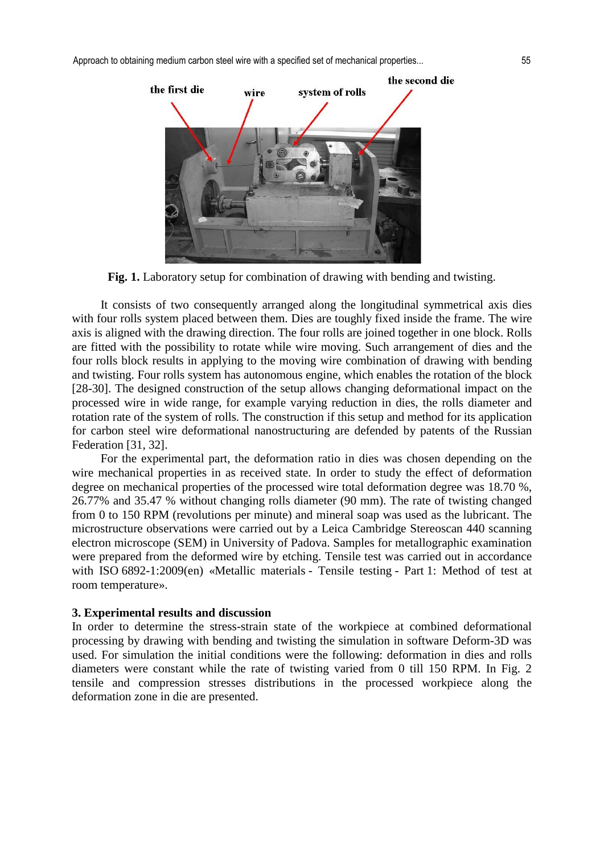Approach to obtaining medium carbon steel wire with a specified set of mechanical properties... 55



**Fig. 1.** Laboratory setup for combination of drawing with bending and twisting.

It consists of two consequently arranged along the longitudinal symmetrical axis dies with four rolls system placed between them. Dies are toughly fixed inside the frame. The wire axis is aligned with the drawing direction. The four rolls are joined together in one block. Rolls are fitted with the possibility to rotate while wire moving. Such arrangement of dies and the four rolls block results in applying to the moving wire combination of drawing with bending and twisting. Four rolls system has autonomous engine, which enables the rotation of the block [28-30]. The designed construction of the setup allows changing deformational impact on the processed wire in wide range, for example varying reduction in dies, the rolls diameter and rotation rate of the system of rolls. The construction if this setup and method for its application for carbon steel wire deformational nanostructuring are defended by patents of the Russian Federation [31, 32].

For the experimental part, the deformation ratio in dies was chosen depending on the wire mechanical properties in as received state. In order to study the effect of deformation degree on mechanical properties of the processed wire total deformation degree was 18.70 %, 26.77% and 35.47 % without changing rolls diameter (90 mm). The rate of twisting changed from 0 to 150 RPM (revolutions per minute) and mineral soap was used as the lubricant. The microstructure observations were carried out by a Leica Cambridge Stereoscan 440 scanning electron microscope (SEM) in University of Padova. Samples for metallographic examination were prepared from the deformed wire by etching. Tensile test was carried out in accordance with ISO 6892-1:2009(en) «Metallic materials - Tensile testing - Part 1: Method of test at room temperature».

#### **3. Experimental results and discussion**

In order to determine the stress-strain state of the workpiece at combined deformational processing by drawing with bending and twisting the simulation in software Deform-3D was used. For simulation the initial conditions were the following: deformation in dies and rolls diameters were constant while the rate of twisting varied from 0 till 150 RPM. In Fig. 2 tensile and compression stresses distributions in the processed workpiece along the deformation zone in die are presented.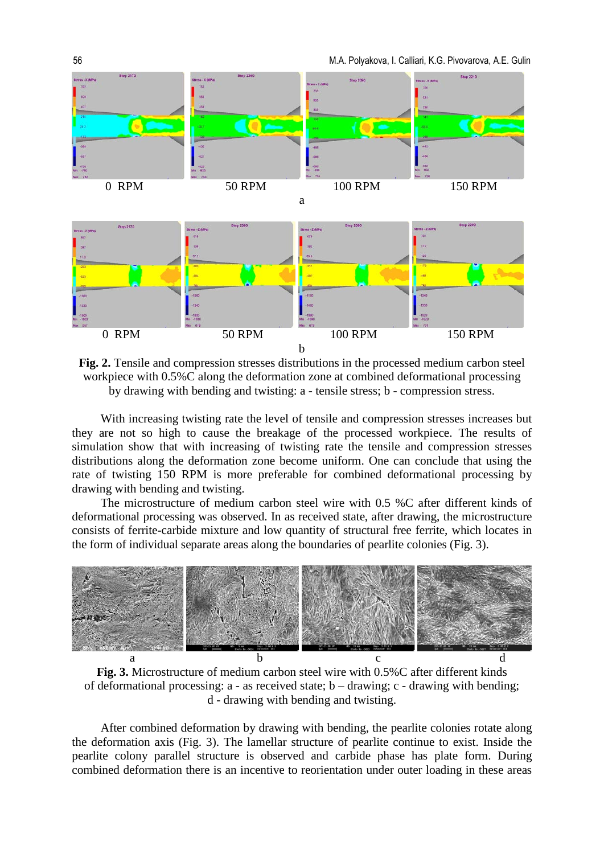

**Fig. 2.** Tensile and compression stresses distributions in the processed medium carbon steel workpiece with 0.5%C along the deformation zone at combined deformational processing by drawing with bending and twisting: a - tensile stress; b - compression stress.

With increasing twisting rate the level of tensile and compression stresses increases but they are not so high to cause the breakage of the processed workpiece. The results of simulation show that with increasing of twisting rate the tensile and compression stresses distributions along the deformation zone become uniform. One can conclude that using the rate of twisting 150 RPM is more preferable for combined deformational processing by drawing with bending and twisting.

The microstructure of medium carbon steel wire with 0.5 %C after different kinds of deformational processing was observed. In as received state, after drawing, the microstructure consists of ferrite-carbide mixture and low quantity of structural free ferrite, which locates in the form of individual separate areas along the boundaries of pearlite colonies (Fig. 3).



**Fig. 3.** Microstructure of medium carbon steel wire with 0.5%C after different kinds of deformational processing: a - as received state; b – drawing; c - drawing with bending; d - drawing with bending and twisting.

After combined deformation by drawing with bending, the pearlite colonies rotate along the deformation axis (Fig. 3). The lamellar structure of pearlite continue to exist. Inside the pearlite colony parallel structure is observed and carbide phase has plate form. During combined deformation there is an incentive to reorientation under outer loading in these areas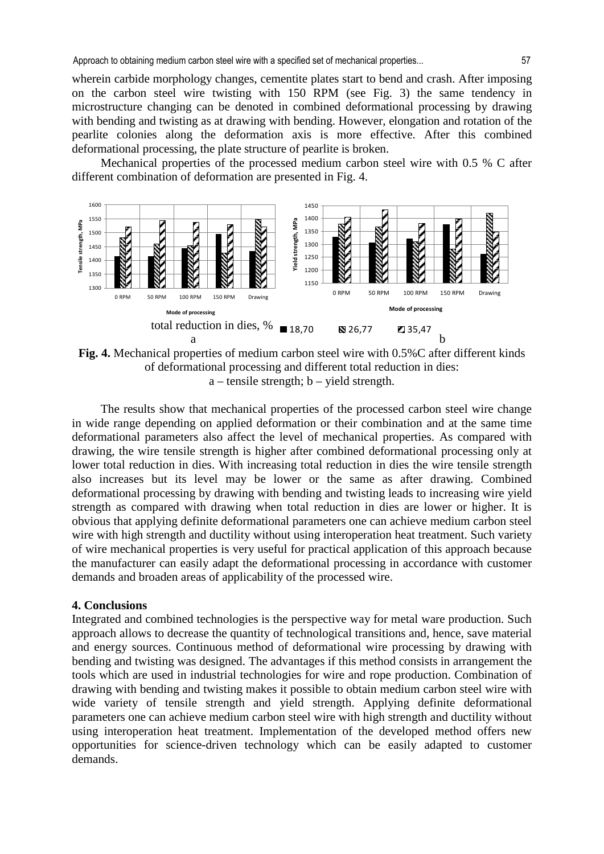wherein carbide morphology changes, cementite plates start to bend and crash. After imposing on the carbon steel wire twisting with 150 RPM (see Fig. 3) the same tendency in microstructure changing can be denoted in combined deformational processing by drawing with bending and twisting as at drawing with bending. However, elongation and rotation of the pearlite colonies along the deformation axis is more effective. After this combined deformational processing, the plate structure of pearlite is broken.

Mechanical properties of the processed medium carbon steel wire with 0.5 % C after different combination of deformation are presented in Fig. 4.



**Fig. 4.** Mechanical properties of medium carbon steel wire with 0.5%C after different kinds of deformational processing and different total reduction in dies:  $a$  – tensile strength;  $b$  – yield strength.

The results show that mechanical properties of the processed carbon steel wire change in wide range depending on applied deformation or their combination and at the same time deformational parameters also affect the level of mechanical properties. As compared with drawing, the wire tensile strength is higher after combined deformational processing only at lower total reduction in dies. With increasing total reduction in dies the wire tensile strength also increases but its level may be lower or the same as after drawing. Combined deformational processing by drawing with bending and twisting leads to increasing wire yield strength as compared with drawing when total reduction in dies are lower or higher. It is obvious that applying definite deformational parameters one can achieve medium carbon steel wire with high strength and ductility without using interoperation heat treatment. Such variety of wire mechanical properties is very useful for practical application of this approach because the manufacturer can easily adapt the deformational processing in accordance with customer demands and broaden areas of applicability of the processed wire.

## **4. Conclusions**

Integrated and combined technologies is the perspective way for metal ware production. Such approach allows to decrease the quantity of technological transitions and, hence, save material and energy sources. Continuous method of deformational wire processing by drawing with bending and twisting was designed. The advantages if this method consists in arrangement the tools which are used in industrial technologies for wire and rope production. Combination of drawing with bending and twisting makes it possible to obtain medium carbon steel wire with wide variety of tensile strength and yield strength. Applying definite deformational parameters one can achieve medium carbon steel wire with high strength and ductility without using interoperation heat treatment. Implementation of the developed method offers new opportunities for science-driven technology which can be easily adapted to customer demands.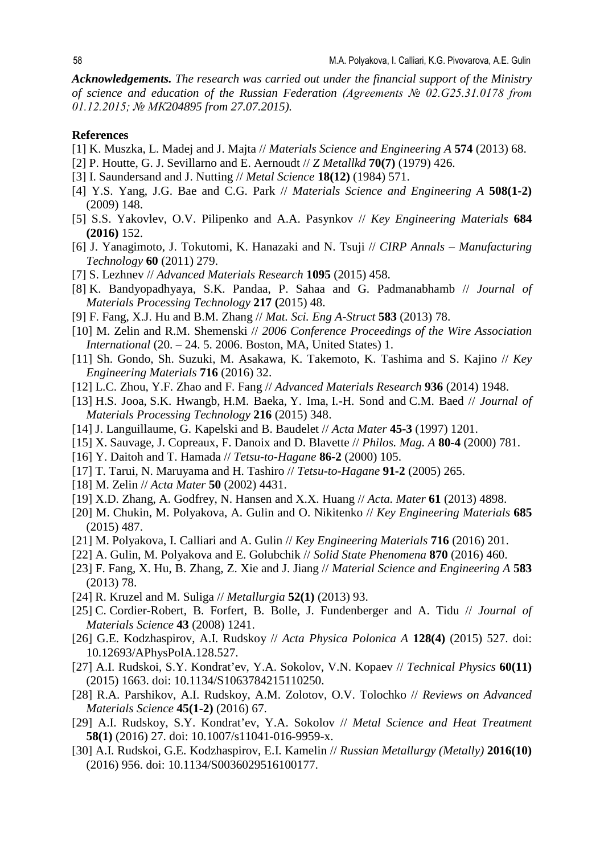*Acknowledgements. The research was carried out under the financial support of the Ministry of science and education of the Russian Federation (Agreements № 02.G25.31.0178 from 01.12.2015; № МК204895 from 27.07.2015).*

#### **References**

- [1] K. Muszka, L. Madej and J. Majta // *Materials Science and Engineering A* **574** (2013) 68.
- [2] P. Houtte, G. J. Sevillarno and E. Aernoudt // *Z Metallkd* **70(7)** (1979) 426.
- [3] I. Saundersand and J. Nutting // *Metal Science* **18(12)** (1984) 571.
- [4] Y.S. Yang, J.G. Bae and C.G. Park // *Materials Science and Engineering A* **508(1-2)** (2009) 148.
- [5] S.S. Yakovlev, O.V. Pilipenko and A.A. Pasynkov // *Key Engineering Materials* **684 (2016)** 152.
- [6] J. Yanagimoto, J. Tokutomi, K. Hanazaki and N. Tsuji // *CIRP Annals Manufacturing Technology* **60** (2011) 279.
- [7] S. Lezhnev // *Advanced Materials Research* **1095** (2015) 458.
- [8] K. Bandyopadhyaya, S.K. Pandaa, P. Sahaa and G. Padmanabhamb // *Journal of Materials Processing Technology* **217 (**2015) 48.
- [9] F. Fang, X.J. Hu and B.M. Zhang // *Mat. Sci. Eng A-Struct* **583** (2013) 78.
- [10] M. Zelin and R.M. Shemenski // *2006 Conference Proceedings of the Wire Association International* (20. – 24. 5. 2006. Boston, MA, United States) 1.
- [11] [Sh. Gondo,](https://www.scientific.net/author/Shiori_Gondo) [Sh. Suzuki,](https://www.scientific.net/author/Shinsuke_Suzuki_3) M. [Asakawa,](https://www.scientific.net/author/Motoo_Asakawa) [K. Takemoto,](https://www.scientific.net/author/Kosuke_Takemoto) [K. Tashima](https://www.scientific.net/author/Kenichi_Tashima) and [S. Kajino](https://www.scientific.net/author/Satoshi_Kajino_2) // *Key Engineering Materials* **716** (2016) 32.
- [12] [L.C. Zhou,](https://www.scientific.net/author/Li_Chu_Zhou) [Y.F. Zhao](https://www.scientific.net/author/Yu_Fei_Zhao_3) and [F. Fang](https://www.scientific.net/author/Feng_Fang) // *Advanced Materials Research* **936** (2014) 1948.
- [13] H.S. Jooa, S.K. Hwangb, H.M. Baeka, Y. Ima, I.-H. Sond and C.M. Baed // *Journal of Materials Processing Technology* **216** (2015) 348.
- [14] J. Languillaume, G. Kapelski and B. Baudelet // *Acta Mater* **45-3** (1997) 1201.
- [15] X. Sauvage, J. Copreaux, F. Danoix and D. Blavette // *Philos. Mag. A* **80-4** (2000) 781.
- [16] Y. Daitoh and T. Hamada // *Tetsu-to-Hagane* **86-2** (2000) 105.
- [17] T. Tarui, N. Maruyama and H. Tashiro // *Tetsu-to-Hagane* **91-2** (2005) 265.
- [18] M. Zelin // *Acta Mater* **50** (2002) 4431.
- [19] X.D. Zhang, A. Godfrey, N. Hansen and X.X. Huang // *Acta. Mater* **61** (2013) 4898.
- [20] M. Chukin, M. Polyakova, A. Gulin and O. Nikitenko // *Key Engineering Materials* **685** (2015) 487.
- [21] М. Polyakova, I. Calliari and A. Gulin // *Key Engineering Materials* **716** (2016) 201.
- [22] A. Gulin, M. Polyakova and E. Golubchik // *Solid State Phenomena* **870** (2016) 460.
- [23] F. Fang, X. Hu, B. Zhang, Z. Xie and J. Jiang // *Material Science and Engineering A* **583** (2013) 78.
- [24] R. Kruzel and M. Suliga // *Metallurgia* **52(1)** (2013) 93.
- [25] C. Cordier-Robert, B. Forfert, B. Bolle, J. Fundenberger and A. Tidu // *Journal of Materials Science* **43** (2008) 1241.
- [26] G.E. Kodzhaspirov, A.I. Rudskoy // *Acta Physica Polonica A* **128(4)** (2015) 527. doi: 10.12693/APhysPolA.128.527.
- [27] A.I. Rudskoi, S.Y. Kondrat'ev, Y.A. Sokolov, V.N. Kopaev // *Technical Physics* **60(11)** (2015) 1663. doi: 10.1134/S1063784215110250.
- [28] R.A. Parshikov, A.I. Rudskoy, A.M. Zolotov, O.V. Tolochko // *Reviews on Advanced Materials Science* **45(1-2)** (2016) 67.
- [29] A.I. Rudskoy, S.Y. Kondrat'ev, Y.A. Sokolov // *Metal Science and Heat Treatment* **58(1)** (2016) 27. doi: 10.1007/s11041-016-9959-x.
- [30] A.I. Rudskoi, G.E. Kodzhaspirov, E.I. Kamelin // *Russian Metallurgy (Metally)* **2016(10)** (2016) 956. doi: 10.1134/S0036029516100177.